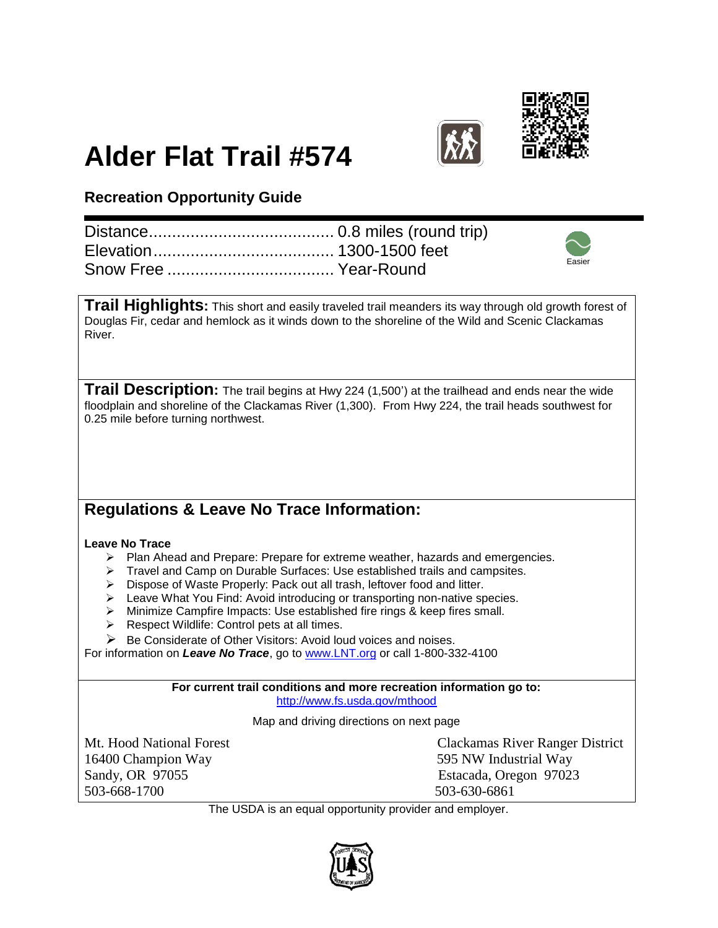



## **Alder Flat Trail #574**

## **Recreation Opportunity Guide**

|  | Easier |
|--|--------|

**Trail Highlights:** This short and easily traveled trail meanders its way through old growth forest of Douglas Fir, cedar and hemlock as it winds down to the shoreline of the Wild and Scenic Clackamas River.

**Trail Description:** The trail begins at Hwy 224 (1,500') at the trailhead and ends near the wide floodplain and shoreline of the Clackamas River (1,300). From Hwy 224, the trail heads southwest for 0.25 mile before turning northwest.

## **Regulations & Leave No Trace Information:**

## **Leave No Trace**

- $\triangleright$  Plan Ahead and Prepare: Prepare for extreme weather, hazards and emergencies.
- Travel and Camp on Durable Surfaces: Use established trails and campsites.
- > Dispose of Waste Properly: Pack out all trash, leftover food and litter.
- Eeave What You Find: Avoid introducing or transporting non-native species.
- Minimize Campfire Impacts: Use established fire rings & keep fires small.
- $\triangleright$  Respect Wildlife: Control pets at all times.
- $\triangleright$  Be Considerate of Other Visitors: Avoid loud voices and noises.

For information on *Leave No Trace*, go to [www.LNT.org](http://www.lnt.org/) or call 1-800-332-4100

**For current trail conditions and more recreation information go to:** <http://www.fs.usda.gov/mthood>

Map and driving directions on next page

16400 Champion Way 595 NW Industrial Way Sandy, OR 97055 Estacada, Oregon 97023 503-668-1700 503-630-6861

Mt. Hood National Forest Clackamas River Ranger District

The USDA is an equal opportunity provider and employer.

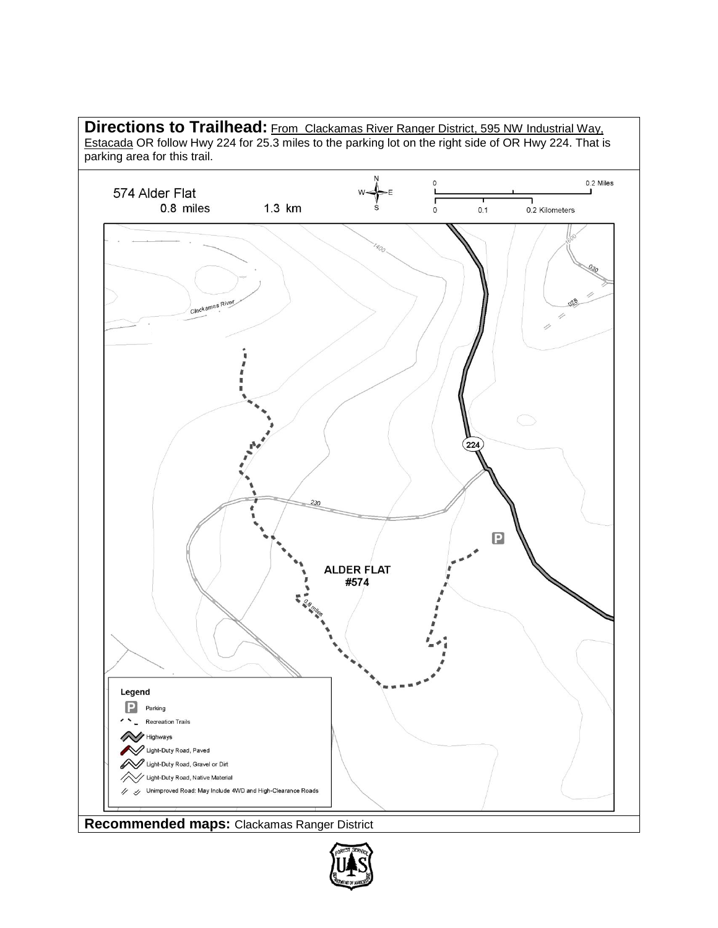

**Recommended maps:** Clackamas Ranger District